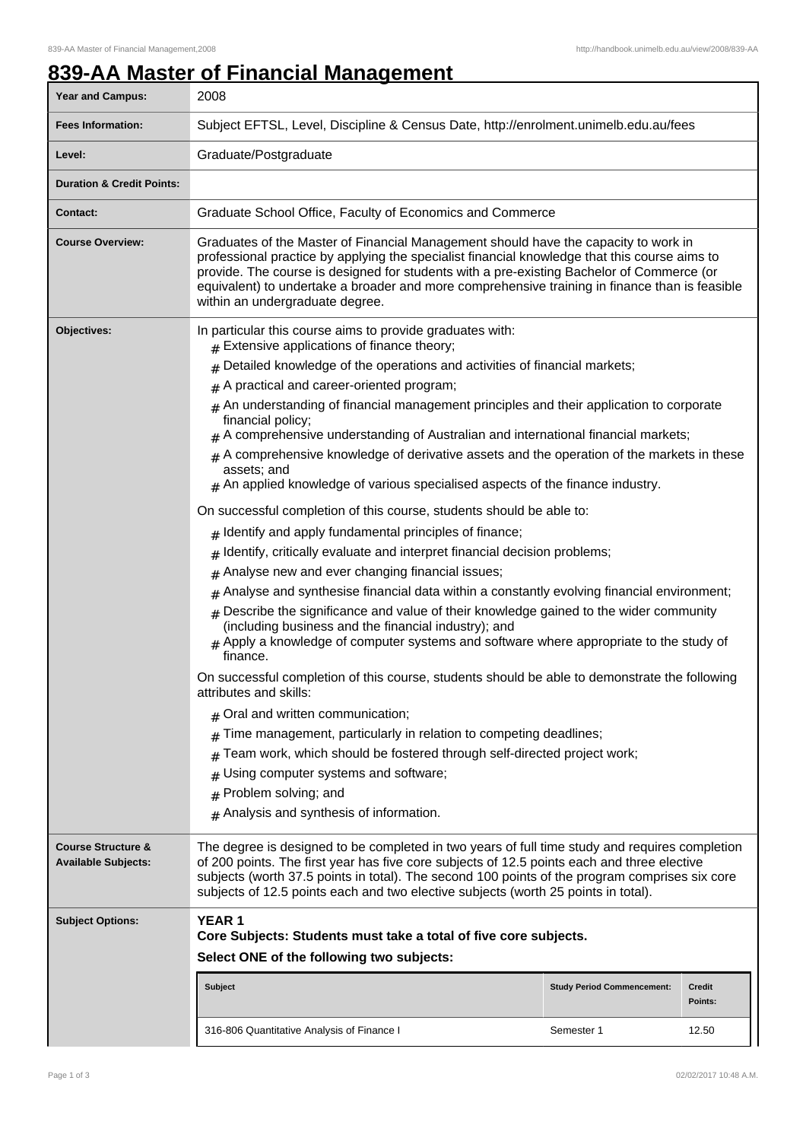## **839-AA Master of Financial Management**

| Year and Campus:                                            | 2008                                                                                                                                                                                                                                                                                                                                                                                                                   |                                   |                   |  |  |
|-------------------------------------------------------------|------------------------------------------------------------------------------------------------------------------------------------------------------------------------------------------------------------------------------------------------------------------------------------------------------------------------------------------------------------------------------------------------------------------------|-----------------------------------|-------------------|--|--|
| <b>Fees Information:</b>                                    | Subject EFTSL, Level, Discipline & Census Date, http://enrolment.unimelb.edu.au/fees                                                                                                                                                                                                                                                                                                                                   |                                   |                   |  |  |
| Level:                                                      | Graduate/Postgraduate                                                                                                                                                                                                                                                                                                                                                                                                  |                                   |                   |  |  |
| <b>Duration &amp; Credit Points:</b>                        |                                                                                                                                                                                                                                                                                                                                                                                                                        |                                   |                   |  |  |
| Contact:                                                    | Graduate School Office, Faculty of Economics and Commerce                                                                                                                                                                                                                                                                                                                                                              |                                   |                   |  |  |
| <b>Course Overview:</b>                                     | Graduates of the Master of Financial Management should have the capacity to work in<br>professional practice by applying the specialist financial knowledge that this course aims to<br>provide. The course is designed for students with a pre-existing Bachelor of Commerce (or<br>equivalent) to undertake a broader and more comprehensive training in finance than is feasible<br>within an undergraduate degree. |                                   |                   |  |  |
| Objectives:                                                 | In particular this course aims to provide graduates with:<br>$#$ Extensive applications of finance theory;                                                                                                                                                                                                                                                                                                             |                                   |                   |  |  |
|                                                             | Detailed knowledge of the operations and activities of financial markets;<br>#                                                                                                                                                                                                                                                                                                                                         |                                   |                   |  |  |
|                                                             | A practical and career-oriented program;<br>#<br>$_{\#}$ An understanding of financial management principles and their application to corporate<br>financial policy;                                                                                                                                                                                                                                                   |                                   |                   |  |  |
|                                                             |                                                                                                                                                                                                                                                                                                                                                                                                                        |                                   |                   |  |  |
|                                                             | $_{\#}$ A comprehensive understanding of Australian and international financial markets;                                                                                                                                                                                                                                                                                                                               |                                   |                   |  |  |
|                                                             | $#$ A comprehensive knowledge of derivative assets and the operation of the markets in these<br>assets; and<br>$#$ An applied knowledge of various specialised aspects of the finance industry.                                                                                                                                                                                                                        |                                   |                   |  |  |
|                                                             |                                                                                                                                                                                                                                                                                                                                                                                                                        |                                   |                   |  |  |
|                                                             | On successful completion of this course, students should be able to:                                                                                                                                                                                                                                                                                                                                                   |                                   |                   |  |  |
|                                                             | $#$ Identify and apply fundamental principles of finance;                                                                                                                                                                                                                                                                                                                                                              |                                   |                   |  |  |
|                                                             | Identify, critically evaluate and interpret financial decision problems;<br>#<br>Analyse new and ever changing financial issues;                                                                                                                                                                                                                                                                                       |                                   |                   |  |  |
|                                                             | #<br>Analyse and synthesise financial data within a constantly evolving financial environment;<br>#                                                                                                                                                                                                                                                                                                                    |                                   |                   |  |  |
|                                                             | Describe the significance and value of their knowledge gained to the wider community<br>#<br>(including business and the financial industry); and<br>Apply a knowledge of computer systems and software where appropriate to the study of<br>#<br>finance.<br>On successful completion of this course, students should be able to demonstrate the following<br>attributes and skills:                                  |                                   |                   |  |  |
|                                                             |                                                                                                                                                                                                                                                                                                                                                                                                                        |                                   |                   |  |  |
|                                                             | $#$ Oral and written communication;                                                                                                                                                                                                                                                                                                                                                                                    |                                   |                   |  |  |
|                                                             | Time management, particularly in relation to competing deadlines;<br>#                                                                                                                                                                                                                                                                                                                                                 |                                   |                   |  |  |
|                                                             | Team work, which should be fostered through self-directed project work;<br>#                                                                                                                                                                                                                                                                                                                                           |                                   |                   |  |  |
|                                                             | Using computer systems and software;                                                                                                                                                                                                                                                                                                                                                                                   |                                   |                   |  |  |
|                                                             | Problem solving; and<br>#                                                                                                                                                                                                                                                                                                                                                                                              |                                   |                   |  |  |
|                                                             | $#$ Analysis and synthesis of information.                                                                                                                                                                                                                                                                                                                                                                             |                                   |                   |  |  |
| <b>Course Structure &amp;</b><br><b>Available Subjects:</b> | The degree is designed to be completed in two years of full time study and requires completion<br>of 200 points. The first year has five core subjects of 12.5 points each and three elective<br>subjects (worth 37.5 points in total). The second 100 points of the program comprises six core<br>subjects of 12.5 points each and two elective subjects (worth 25 points in total).                                  |                                   |                   |  |  |
| <b>Subject Options:</b>                                     | <b>YEAR1</b><br>Core Subjects: Students must take a total of five core subjects.                                                                                                                                                                                                                                                                                                                                       |                                   |                   |  |  |
|                                                             | Select ONE of the following two subjects:                                                                                                                                                                                                                                                                                                                                                                              |                                   |                   |  |  |
|                                                             | <b>Subject</b>                                                                                                                                                                                                                                                                                                                                                                                                         | <b>Study Period Commencement:</b> | Credit<br>Points: |  |  |
|                                                             | 316-806 Quantitative Analysis of Finance I                                                                                                                                                                                                                                                                                                                                                                             | Semester 1                        | 12.50             |  |  |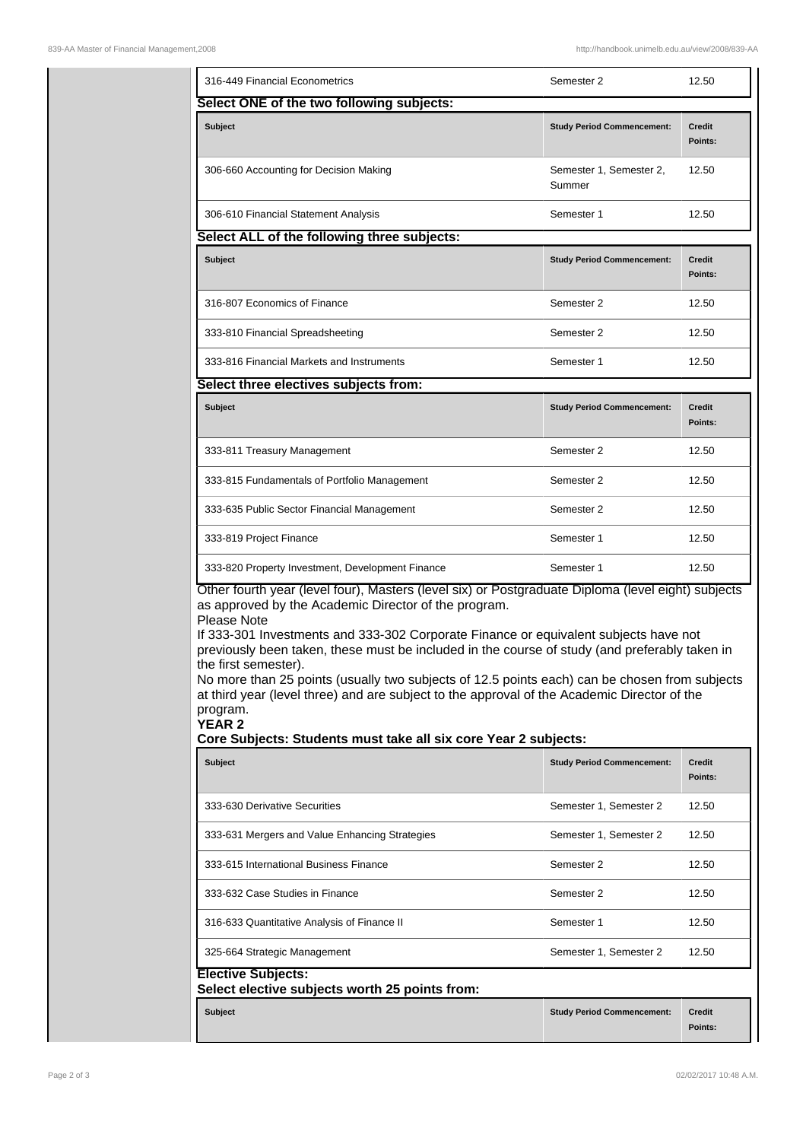| 316-449 Financial Econometrics                                                                                                                                                                                                                                                                                                                                                                                                                                                                                                                                                                                                                                                             | Semester 2                        | 12.50                    |  |  |  |  |
|--------------------------------------------------------------------------------------------------------------------------------------------------------------------------------------------------------------------------------------------------------------------------------------------------------------------------------------------------------------------------------------------------------------------------------------------------------------------------------------------------------------------------------------------------------------------------------------------------------------------------------------------------------------------------------------------|-----------------------------------|--------------------------|--|--|--|--|
| Select ONE of the two following subjects:                                                                                                                                                                                                                                                                                                                                                                                                                                                                                                                                                                                                                                                  |                                   |                          |  |  |  |  |
| Subject                                                                                                                                                                                                                                                                                                                                                                                                                                                                                                                                                                                                                                                                                    | <b>Study Period Commencement:</b> | <b>Credit</b><br>Points: |  |  |  |  |
| 306-660 Accounting for Decision Making                                                                                                                                                                                                                                                                                                                                                                                                                                                                                                                                                                                                                                                     | Semester 1, Semester 2,<br>Summer | 12.50                    |  |  |  |  |
| 306-610 Financial Statement Analysis                                                                                                                                                                                                                                                                                                                                                                                                                                                                                                                                                                                                                                                       | Semester 1                        | 12.50                    |  |  |  |  |
| Select ALL of the following three subjects:                                                                                                                                                                                                                                                                                                                                                                                                                                                                                                                                                                                                                                                |                                   |                          |  |  |  |  |
| <b>Subject</b>                                                                                                                                                                                                                                                                                                                                                                                                                                                                                                                                                                                                                                                                             | <b>Study Period Commencement:</b> | Credit<br>Points:        |  |  |  |  |
| 316-807 Economics of Finance                                                                                                                                                                                                                                                                                                                                                                                                                                                                                                                                                                                                                                                               | Semester 2                        | 12.50                    |  |  |  |  |
| 333-810 Financial Spreadsheeting                                                                                                                                                                                                                                                                                                                                                                                                                                                                                                                                                                                                                                                           | Semester 2                        | 12.50                    |  |  |  |  |
| 333-816 Financial Markets and Instruments                                                                                                                                                                                                                                                                                                                                                                                                                                                                                                                                                                                                                                                  | Semester 1                        | 12.50                    |  |  |  |  |
| Select three electives subjects from:                                                                                                                                                                                                                                                                                                                                                                                                                                                                                                                                                                                                                                                      |                                   |                          |  |  |  |  |
| <b>Subject</b>                                                                                                                                                                                                                                                                                                                                                                                                                                                                                                                                                                                                                                                                             | <b>Study Period Commencement:</b> | <b>Credit</b><br>Points: |  |  |  |  |
| 333-811 Treasury Management                                                                                                                                                                                                                                                                                                                                                                                                                                                                                                                                                                                                                                                                | Semester 2                        | 12.50                    |  |  |  |  |
| 333-815 Fundamentals of Portfolio Management                                                                                                                                                                                                                                                                                                                                                                                                                                                                                                                                                                                                                                               | Semester 2                        | 12.50                    |  |  |  |  |
| 333-635 Public Sector Financial Management                                                                                                                                                                                                                                                                                                                                                                                                                                                                                                                                                                                                                                                 | Semester 2                        | 12.50                    |  |  |  |  |
| 333-819 Project Finance                                                                                                                                                                                                                                                                                                                                                                                                                                                                                                                                                                                                                                                                    | Semester 1                        | 12.50                    |  |  |  |  |
| 333-820 Property Investment, Development Finance                                                                                                                                                                                                                                                                                                                                                                                                                                                                                                                                                                                                                                           | Semester 1                        | 12.50                    |  |  |  |  |
| Other fourth year (level four), Masters (level six) or Postgraduate Diploma (level eight) subjects<br>as approved by the Academic Director of the program.<br>Please Note<br>If 333-301 Investments and 333-302 Corporate Finance or equivalent subjects have not<br>previously been taken, these must be included in the course of study (and preferably taken in<br>the first semester).<br>No more than 25 points (usually two subjects of 12.5 points each) can be chosen from subjects<br>at third year (level three) and are subject to the approval of the Academic Director of the<br>program.<br><b>YEAR 2</b><br>Core Subjects: Students must take all six core Year 2 subjects: |                                   |                          |  |  |  |  |
| <b>Subject</b>                                                                                                                                                                                                                                                                                                                                                                                                                                                                                                                                                                                                                                                                             | <b>Study Period Commencement:</b> | Credit                   |  |  |  |  |
|                                                                                                                                                                                                                                                                                                                                                                                                                                                                                                                                                                                                                                                                                            |                                   | Points:                  |  |  |  |  |
| 333-630 Derivative Securities                                                                                                                                                                                                                                                                                                                                                                                                                                                                                                                                                                                                                                                              | Semester 1, Semester 2            | 12.50                    |  |  |  |  |
| 333-631 Mergers and Value Enhancing Strategies                                                                                                                                                                                                                                                                                                                                                                                                                                                                                                                                                                                                                                             | Semester 1, Semester 2            | 12.50                    |  |  |  |  |
| 333-615 International Business Finance                                                                                                                                                                                                                                                                                                                                                                                                                                                                                                                                                                                                                                                     | Semester 2                        | 12.50                    |  |  |  |  |
| 333-632 Case Studies in Finance                                                                                                                                                                                                                                                                                                                                                                                                                                                                                                                                                                                                                                                            | Semester 2                        | 12.50                    |  |  |  |  |
| 316-633 Quantitative Analysis of Finance II                                                                                                                                                                                                                                                                                                                                                                                                                                                                                                                                                                                                                                                | Semester 1                        | 12.50                    |  |  |  |  |
| 325-664 Strategic Management                                                                                                                                                                                                                                                                                                                                                                                                                                                                                                                                                                                                                                                               | Semester 1, Semester 2            | 12.50                    |  |  |  |  |
| <b>Elective Subjects:</b><br>Select elective subjects worth 25 points from:                                                                                                                                                                                                                                                                                                                                                                                                                                                                                                                                                                                                                |                                   |                          |  |  |  |  |
| <b>Subject</b>                                                                                                                                                                                                                                                                                                                                                                                                                                                                                                                                                                                                                                                                             | <b>Study Period Commencement:</b> | <b>Credit</b><br>Points: |  |  |  |  |